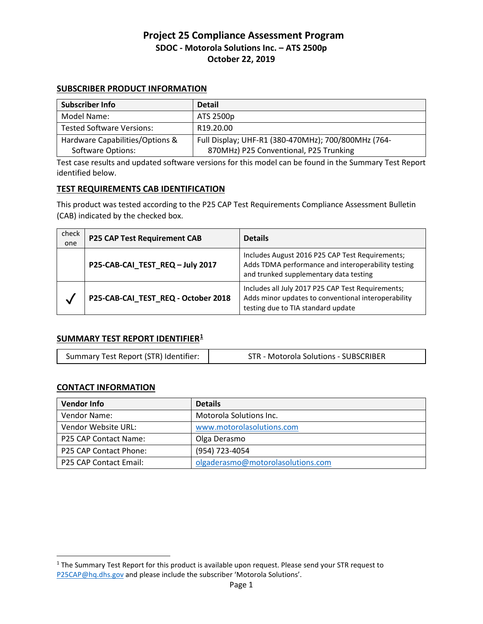#### **SUBSCRIBER PRODUCT INFORMATION**

| <b>Subscriber Info</b>           | <b>Detail</b>                                       |
|----------------------------------|-----------------------------------------------------|
| Model Name:                      | ATS 2500p                                           |
| <b>Tested Software Versions:</b> | R <sub>19.20.00</sub>                               |
| Hardware Capabilities/Options &  | Full Display; UHF-R1 (380-470MHz); 700/800MHz (764- |
| <b>Software Options:</b>         | 870MHz) P25 Conventional, P25 Trunking              |

Test case results and updated software versions for this model can be found in the Summary Test Report identified below.

#### **TEST REQUIREMENTS CAB IDENTIFICATION**

This product was tested according to the P25 CAP Test Requirements Compliance Assessment Bulletin (CAB) indicated by the checked box.

| check<br>one | <b>P25 CAP Test Requirement CAB</b> | <b>Details</b>                                                                                                                                  |
|--------------|-------------------------------------|-------------------------------------------------------------------------------------------------------------------------------------------------|
|              | P25-CAB-CAI_TEST_REQ - July 2017    | Includes August 2016 P25 CAP Test Requirements;<br>Adds TDMA performance and interoperability testing<br>and trunked supplementary data testing |
| V            | P25-CAB-CAI_TEST_REQ - October 2018 | Includes all July 2017 P25 CAP Test Requirements;<br>Adds minor updates to conventional interoperability<br>testing due to TIA standard update  |

### **SUMMARY TEST REPORT IDENTIFIER[1](#page-0-0)**

| Summary Test Report (STR) Identifier: | <b>STR - Motorola Solutions - SUBSCRIBER</b> |
|---------------------------------------|----------------------------------------------|
|---------------------------------------|----------------------------------------------|

### **CONTACT INFORMATION**

 $\overline{a}$ 

| <b>Vendor Info</b>     | <b>Details</b>                    |
|------------------------|-----------------------------------|
| Vendor Name:           | Motorola Solutions Inc.           |
| Vendor Website URL:    | www.motorolasolutions.com         |
| P25 CAP Contact Name:  | Olga Derasmo                      |
| P25 CAP Contact Phone: | (954) 723-4054                    |
| P25 CAP Contact Email: | olgaderasmo@motorolasolutions.com |

<span id="page-0-0"></span><sup>&</sup>lt;sup>1</sup> The Summary Test Report for this product is available upon request. Please send your STR request to [P25CAP@hq.dhs.gov](mailto:P25CAP@hq.dhs.gov) and please include the subscriber 'Motorola Solutions'.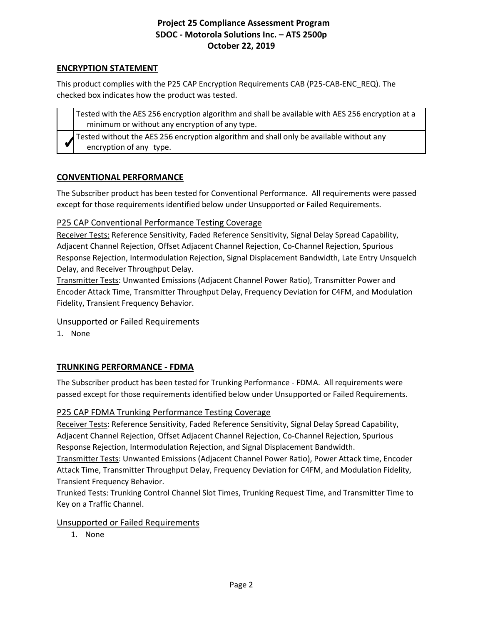## **ENCRYPTION STATEMENT**

This product complies with the P25 CAP Encryption Requirements CAB (P25-CAB-ENC\_REQ). The checked box indicates how the product was tested.

| Tested with the AES 256 encryption algorithm and shall be available with AES 256 encryption at a<br>minimum or without any encryption of any type. |
|----------------------------------------------------------------------------------------------------------------------------------------------------|
| Tested without the AES 256 encryption algorithm and shall only be available without any<br>encryption of any type.                                 |

## **CONVENTIONAL PERFORMANCE**

The Subscriber product has been tested for Conventional Performance. All requirements were passed except for those requirements identified below under Unsupported or Failed Requirements.

## P25 CAP Conventional Performance Testing Coverage

Receiver Tests: Reference Sensitivity, Faded Reference Sensitivity, Signal Delay Spread Capability, Adjacent Channel Rejection, Offset Adjacent Channel Rejection, Co-Channel Rejection, Spurious Response Rejection, Intermodulation Rejection, Signal Displacement Bandwidth, Late Entry Unsquelch Delay, and Receiver Throughput Delay.

Transmitter Tests: Unwanted Emissions (Adjacent Channel Power Ratio), Transmitter Power and Encoder Attack Time, Transmitter Throughput Delay, Frequency Deviation for C4FM, and Modulation Fidelity, Transient Frequency Behavior.

### Unsupported or Failed Requirements

1. None

# **TRUNKING PERFORMANCE - FDMA**

The Subscriber product has been tested for Trunking Performance - FDMA. All requirements were passed except for those requirements identified below under Unsupported or Failed Requirements.

# P25 CAP FDMA Trunking Performance Testing Coverage

Receiver Tests: Reference Sensitivity, Faded Reference Sensitivity, Signal Delay Spread Capability, Adjacent Channel Rejection, Offset Adjacent Channel Rejection, Co-Channel Rejection, Spurious Response Rejection, Intermodulation Rejection, and Signal Displacement Bandwidth.

Transmitter Tests: Unwanted Emissions (Adjacent Channel Power Ratio), Power Attack time, Encoder Attack Time, Transmitter Throughput Delay, Frequency Deviation for C4FM, and Modulation Fidelity, Transient Frequency Behavior.

Trunked Tests: Trunking Control Channel Slot Times, Trunking Request Time, and Transmitter Time to Key on a Traffic Channel.

### Unsupported or Failed Requirements

1. None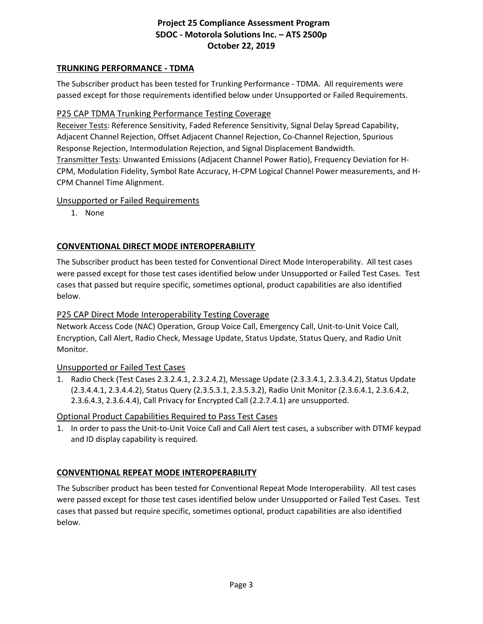# **TRUNKING PERFORMANCE - TDMA**

The Subscriber product has been tested for Trunking Performance - TDMA. All requirements were passed except for those requirements identified below under Unsupported or Failed Requirements.

## P25 CAP TDMA Trunking Performance Testing Coverage

Receiver Tests: Reference Sensitivity, Faded Reference Sensitivity, Signal Delay Spread Capability, Adjacent Channel Rejection, Offset Adjacent Channel Rejection, Co-Channel Rejection, Spurious Response Rejection, Intermodulation Rejection, and Signal Displacement Bandwidth. Transmitter Tests: Unwanted Emissions (Adjacent Channel Power Ratio), Frequency Deviation for H-CPM, Modulation Fidelity, Symbol Rate Accuracy, H-CPM Logical Channel Power measurements, and H-CPM Channel Time Alignment.

### Unsupported or Failed Requirements

1. None

## **CONVENTIONAL DIRECT MODE INTEROPERABILITY**

The Subscriber product has been tested for Conventional Direct Mode Interoperability. All test cases were passed except for those test cases identified below under Unsupported or Failed Test Cases. Test cases that passed but require specific, sometimes optional, product capabilities are also identified below.

## P25 CAP Direct Mode Interoperability Testing Coverage

Network Access Code (NAC) Operation, Group Voice Call, Emergency Call, Unit-to-Unit Voice Call, Encryption, Call Alert, Radio Check, Message Update, Status Update, Status Query, and Radio Unit Monitor.

### Unsupported or Failed Test Cases

1. Radio Check (Test Cases 2.3.2.4.1, 2.3.2.4.2), Message Update (2.3.3.4.1, 2.3.3.4.2), Status Update (2.3.4.4.1, 2.3.4.4.2), Status Query (2.3.5.3.1, 2.3.5.3.2), Radio Unit Monitor (2.3.6.4.1, 2.3.6.4.2, 2.3.6.4.3, 2.3.6.4.4), Call Privacy for Encrypted Call (2.2.7.4.1) are unsupported.

### Optional Product Capabilities Required to Pass Test Cases

1. In order to pass the Unit-to-Unit Voice Call and Call Alert test cases, a subscriber with DTMF keypad and ID display capability is required.

### **CONVENTIONAL REPEAT MODE INTEROPERABILITY**

The Subscriber product has been tested for Conventional Repeat Mode Interoperability. All test cases were passed except for those test cases identified below under Unsupported or Failed Test Cases. Test cases that passed but require specific, sometimes optional, product capabilities are also identified below.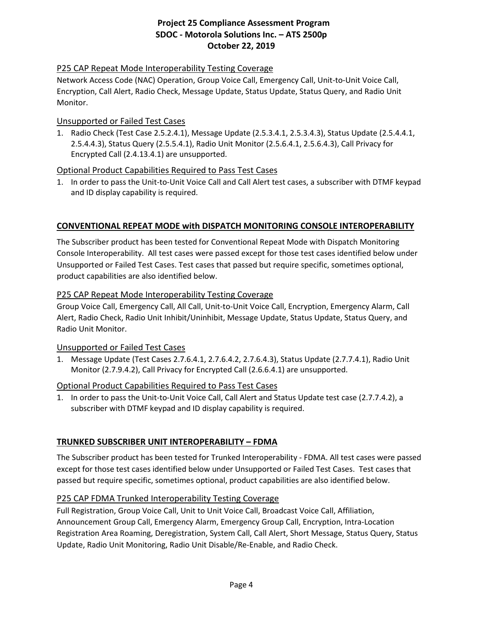# P25 CAP Repeat Mode Interoperability Testing Coverage

Network Access Code (NAC) Operation, Group Voice Call, Emergency Call, Unit-to-Unit Voice Call, Encryption, Call Alert, Radio Check, Message Update, Status Update, Status Query, and Radio Unit Monitor.

#### Unsupported or Failed Test Cases

1. Radio Check (Test Case 2.5.2.4.1), Message Update (2.5.3.4.1, 2.5.3.4.3), Status Update (2.5.4.4.1, 2.5.4.4.3), Status Query (2.5.5.4.1), Radio Unit Monitor (2.5.6.4.1, 2.5.6.4.3), Call Privacy for Encrypted Call (2.4.13.4.1) are unsupported.

### Optional Product Capabilities Required to Pass Test Cases

1. In order to pass the Unit-to-Unit Voice Call and Call Alert test cases, a subscriber with DTMF keypad and ID display capability is required.

### **CONVENTIONAL REPEAT MODE with DISPATCH MONITORING CONSOLE INTEROPERABILITY**

The Subscriber product has been tested for Conventional Repeat Mode with Dispatch Monitoring Console Interoperability. All test cases were passed except for those test cases identified below under Unsupported or Failed Test Cases. Test cases that passed but require specific, sometimes optional, product capabilities are also identified below.

#### P25 CAP Repeat Mode Interoperability Testing Coverage

Group Voice Call, Emergency Call, All Call, Unit-to-Unit Voice Call, Encryption, Emergency Alarm, Call Alert, Radio Check, Radio Unit Inhibit/Uninhibit, Message Update, Status Update, Status Query, and Radio Unit Monitor.

### Unsupported or Failed Test Cases

1. Message Update (Test Cases 2.7.6.4.1, 2.7.6.4.2, 2.7.6.4.3), Status Update (2.7.7.4.1), Radio Unit Monitor (2.7.9.4.2), Call Privacy for Encrypted Call (2.6.6.4.1) are unsupported.

### Optional Product Capabilities Required to Pass Test Cases

1. In order to pass the Unit-to-Unit Voice Call, Call Alert and Status Update test case (2.7.7.4.2), a subscriber with DTMF keypad and ID display capability is required.

### **TRUNKED SUBSCRIBER UNIT INTEROPERABILITY – FDMA**

The Subscriber product has been tested for Trunked Interoperability - FDMA. All test cases were passed except for those test cases identified below under Unsupported or Failed Test Cases. Test cases that passed but require specific, sometimes optional, product capabilities are also identified below.

### P25 CAP FDMA Trunked Interoperability Testing Coverage

Full Registration, Group Voice Call, Unit to Unit Voice Call, Broadcast Voice Call, Affiliation, Announcement Group Call, Emergency Alarm, Emergency Group Call, Encryption, Intra-Location Registration Area Roaming, Deregistration, System Call, Call Alert, Short Message, Status Query, Status Update, Radio Unit Monitoring, Radio Unit Disable/Re-Enable, and Radio Check.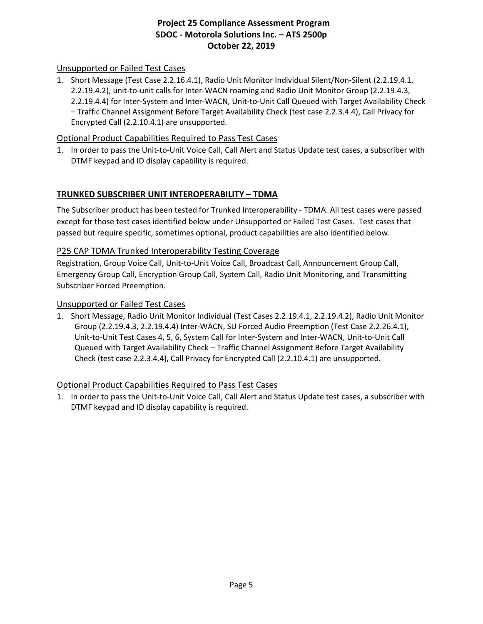# Unsupported or Failed Test Cases

1. Short Message (Test Case 2.2.16.4.1), Radio Unit Monitor Individual Silent/Non-Silent (2.2.19.4.1, 2.2.19.4.2), unit-to-unit calls for Inter-WACN roaming and Radio Unit Monitor Group (2.2.19.4.3, 2.2.19.4.4) for Inter-System and Inter-WACN, Unit-to-Unit Call Queued with Target Availability Check – Traffic Channel Assignment Before Target Availability Check (test case 2.2.3.4.4), Call Privacy for Encrypted Call (2.2.10.4.1) are unsupported.

## Optional Product Capabilities Required to Pass Test Cases

1. In order to pass the Unit-to-Unit Voice Call, Call Alert and Status Update test cases, a subscriber with DTMF keypad and ID display capability is required.

## **TRUNKED SUBSCRIBER UNIT INTEROPERABILITY – TDMA**

The Subscriber product has been tested for Trunked Interoperability - TDMA. All test cases were passed except for those test cases identified below under Unsupported or Failed Test Cases. Test cases that passed but require specific, sometimes optional, product capabilities are also identified below.

### P25 CAP TDMA Trunked Interoperability Testing Coverage

Registration, Group Voice Call, Unit-to-Unit Voice Call, Broadcast Call, Announcement Group Call, Emergency Group Call, Encryption Group Call, System Call, Radio Unit Monitoring, and Transmitting Subscriber Forced Preemption.

#### Unsupported or Failed Test Cases

1. Short Message, Radio Unit Monitor Individual (Test Cases 2.2.19.4.1, 2.2.19.4.2), Radio Unit Monitor Group (2.2.19.4.3, 2.2.19.4.4) Inter-WACN, SU Forced Audio Preemption (Test Case 2.2.26.4.1), Unit-to-Unit Test Cases 4, 5, 6, System Call for Inter-System and Inter-WACN, Unit-to-Unit Call Queued with Target Availability Check – Traffic Channel Assignment Before Target Availability Check (test case 2.2.3.4.4), Call Privacy for Encrypted Call (2.2.10.4.1) are unsupported.

### Optional Product Capabilities Required to Pass Test Cases

1. In order to pass the Unit-to-Unit Voice Call, Call Alert and Status Update test cases, a subscriber with DTMF keypad and ID display capability is required.